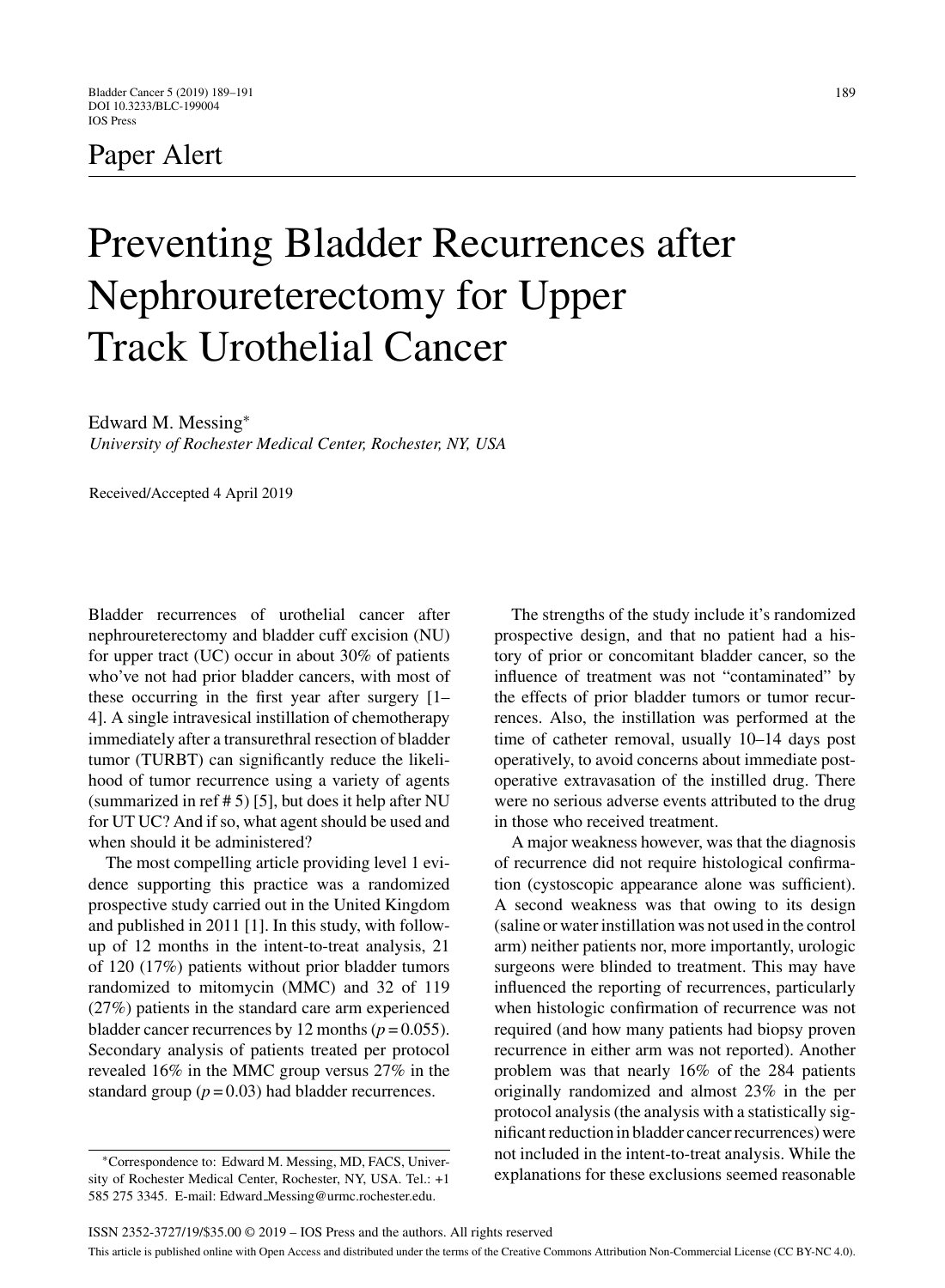## Paper Alert

# Preventing Bladder Recurrences after Nephroureterectomy for Upper Track Urothelial Cancer

Edward M. Messing<sup>∗</sup>

*University of Rochester Medical Center, Rochester, NY, USA*

Received/Accepted 4 April 2019

Bladder recurrences of urothelial cancer after nephroureterectomy and bladder cuff excision (NU) for upper tract (UC) occur in about 30% of patients who've not had prior bladder cancers, with most of these occurring in the first year after surgery [1– 4]. A single intravesical instillation of chemotherapy immediately after a transurethral resection of bladder tumor (TURBT) can significantly reduce the likelihood of tumor recurrence using a variety of agents (summarized in ref  $# 5$ ) [5], but does it help after NU for UT UC? And if so, what agent should be used and when should it be administered?

The most compelling article providing level 1 evidence supporting this practice was a randomized prospective study carried out in the United Kingdom and published in 2011 [1]. In this study, with followup of 12 months in the intent-to-treat analysis, 21 of 120 (17%) patients without prior bladder tumors randomized to mitomycin (MMC) and 32 of 119 (27%) patients in the standard care arm experienced bladder cancer recurrences by 12 months  $(p = 0.055)$ . Secondary analysis of patients treated per protocol revealed 16% in the MMC group versus 27% in the standard group  $(p = 0.03)$  had bladder recurrences.

∗Correspondence to: Edward M. Messing, MD, FACS, University of Rochester Medical Center, Rochester, NY, USA. Tel.: +1 585 275 3345. E-mail: Edward [Messing@urmc.rochester.edu](mailto:Edward_Messing@urmc.rochester.edu).

The strengths of the study include it's randomized prospective design, and that no patient had a history of prior or concomitant bladder cancer, so the influence of treatment was not "contaminated" by the effects of prior bladder tumors or tumor recurrences. Also, the instillation was performed at the time of catheter removal, usually 10–14 days post operatively, to avoid concerns about immediate postoperative extravasation of the instilled drug. There were no serious adverse events attributed to the drug in those who received treatment.

A major weakness however, was that the diagnosis of recurrence did not require histological confirmation (cystoscopic appearance alone was sufficient). A second weakness was that owing to its design (saline or water instillation was not used in the control arm) neither patients nor, more importantly, urologic surgeons were blinded to treatment. This may have influenced the reporting of recurrences, particularly when histologic confirmation of recurrence was not required (and how many patients had biopsy proven recurrence in either arm was not reported). Another problem was that nearly 16% of the 284 patients originally randomized and almost 23% in the per protocol analysis (the analysis with a statistically significant reduction in bladder cancer recurrences) were not included in the intent-to-treat analysis. While the explanations for these exclusions seemed reasonable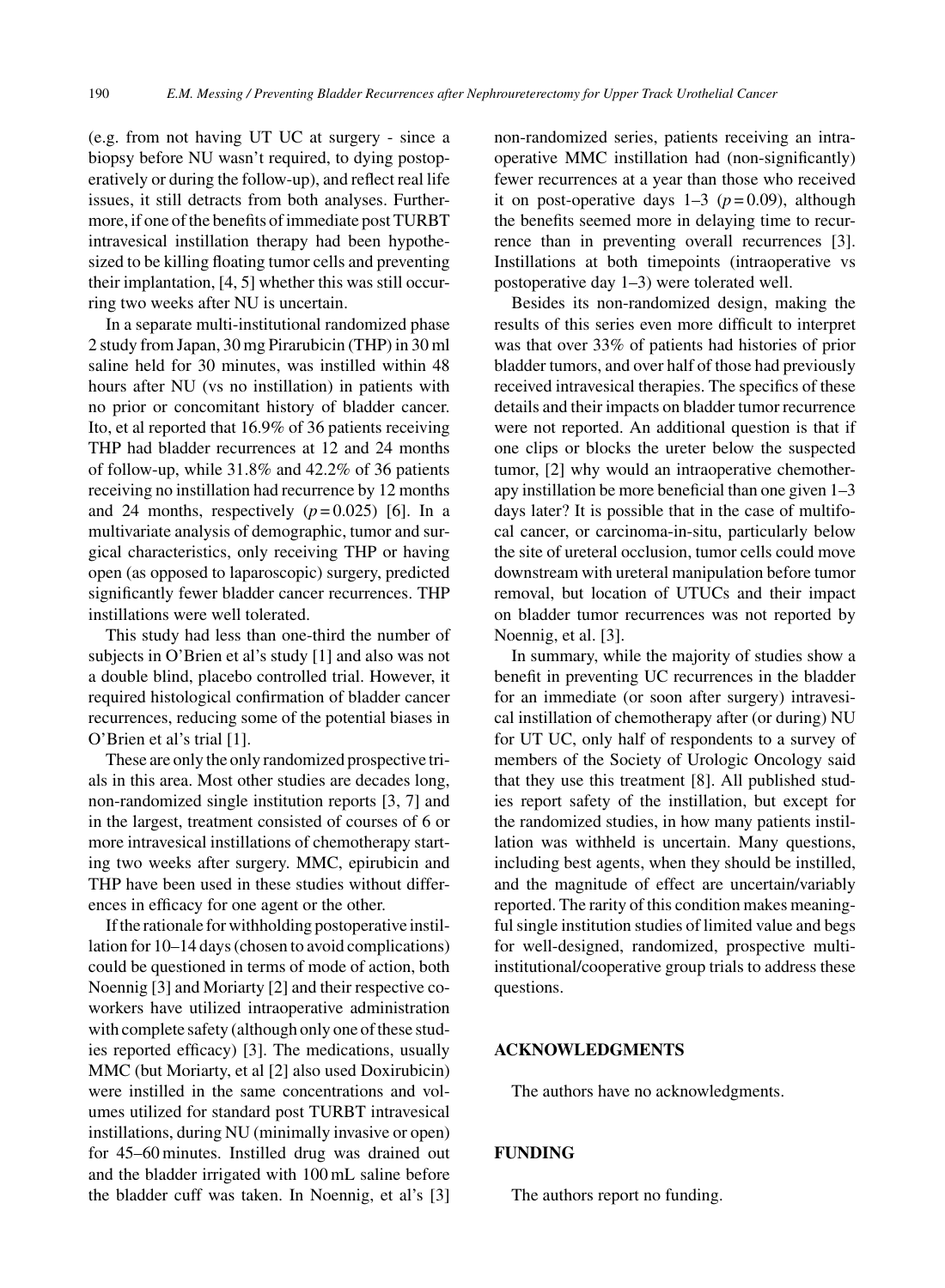(e.g. from not having UT UC at surgery - since a biopsy before NU wasn't required, to dying postoperatively or during the follow-up), and reflect real life issues, it still detracts from both analyses. Furthermore, if one of the benefits of immediate post TURBT intravesical instillation therapy had been hypothesized to be killing floating tumor cells and preventing their implantation, [4, 5] whether this was still occurring two weeks after NU is uncertain.

In a separate multi-institutional randomized phase 2 study from Japan, 30 mg Pirarubicin (THP) in 30 ml saline held for 30 minutes, was instilled within 48 hours after NU (vs no instillation) in patients with no prior or concomitant history of bladder cancer. Ito, et al reported that 16.9% of 36 patients receiving THP had bladder recurrences at 12 and 24 months of follow-up, while 31.8% and 42.2% of 36 patients receiving no instillation had recurrence by 12 months and 24 months, respectively  $(p=0.025)$  [6]. In a multivariate analysis of demographic, tumor and surgical characteristics, only receiving THP or having open (as opposed to laparoscopic) surgery, predicted significantly fewer bladder cancer recurrences. THP instillations were well tolerated.

This study had less than one-third the number of subjects in O'Brien et al's study [1] and also was not a double blind, placebo controlled trial. However, it required histological confirmation of bladder cancer recurrences, reducing some of the potential biases in O'Brien et al's trial [1].

These are only the only randomized prospective trials in this area. Most other studies are decades long, non-randomized single institution reports [3, 7] and in the largest, treatment consisted of courses of 6 or more intravesical instillations of chemotherapy starting two weeks after surgery. MMC, epirubicin and THP have been used in these studies without differences in efficacy for one agent or the other.

If the rationale for withholding postoperative instillation for 10–14 days (chosen to avoid complications) could be questioned in terms of mode of action, both Noennig [3] and Moriarty [2] and their respective coworkers have utilized intraoperative administration with complete safety (although only one of these studies reported efficacy) [3]. The medications, usually MMC (but Moriarty, et al [2] also used Doxirubicin) were instilled in the same concentrations and volumes utilized for standard post TURBT intravesical instillations, during NU (minimally invasive or open) for 45–60 minutes. Instilled drug was drained out and the bladder irrigated with 100 mL saline before the bladder cuff was taken. In Noennig, et al's [3] non-randomized series, patients receiving an intraoperative MMC instillation had (non-significantly) fewer recurrences at a year than those who received it on post-operative days  $1-3$  ( $p=0.09$ ), although the benefits seemed more in delaying time to recurrence than in preventing overall recurrences [3]. Instillations at both timepoints (intraoperative vs postoperative day 1–3) were tolerated well.

Besides its non-randomized design, making the results of this series even more difficult to interpret was that over 33% of patients had histories of prior bladder tumors, and over half of those had previously received intravesical therapies. The specifics of these details and their impacts on bladder tumor recurrence were not reported. An additional question is that if one clips or blocks the ureter below the suspected tumor, [2] why would an intraoperative chemotherapy instillation be more beneficial than one given 1–3 days later? It is possible that in the case of multifocal cancer, or carcinoma-in-situ, particularly below the site of ureteral occlusion, tumor cells could move downstream with ureteral manipulation before tumor removal, but location of UTUCs and their impact on bladder tumor recurrences was not reported by Noennig, et al. [3].

In summary, while the majority of studies show a benefit in preventing UC recurrences in the bladder for an immediate (or soon after surgery) intravesical instillation of chemotherapy after (or during) NU for UT UC, only half of respondents to a survey of members of the Society of Urologic Oncology said that they use this treatment [8]. All published studies report safety of the instillation, but except for the randomized studies, in how many patients instillation was withheld is uncertain. Many questions, including best agents, when they should be instilled, and the magnitude of effect are uncertain/variably reported. The rarity of this condition makes meaningful single institution studies of limited value and begs for well-designed, randomized, prospective multiinstitutional/cooperative group trials to address these questions.

#### **ACKNOWLEDGMENTS**

The authors have no acknowledgments.

#### **FUNDING**

The authors report no funding.